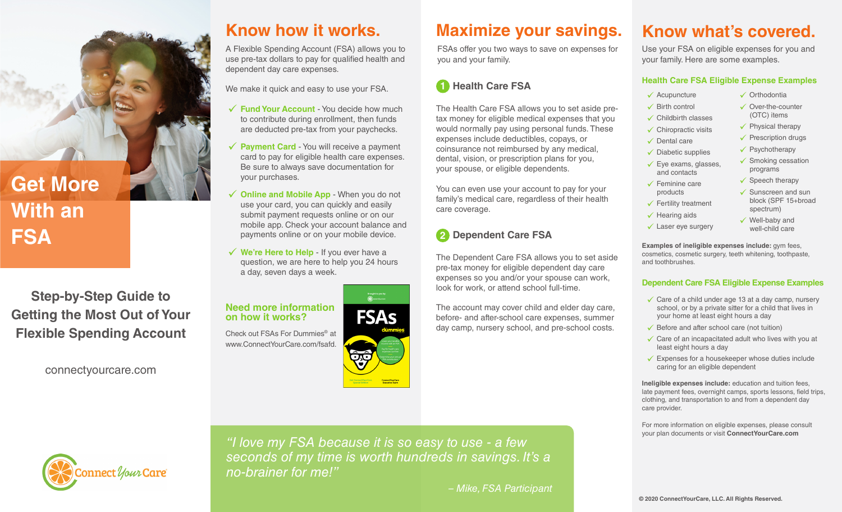

## **Get More With an FSA**

**Step-by-Step Guide to Getting the Most Out of Your Flexible Spending Account**

connectyourcare.com

A Flexible Spending Account (FSA) allows you to use pre-tax dollars to pay for qualified health and dependent day care expenses.

We make it quick and easy to use your FSA.

- **√ Fund Your Account** You decide how much to contribute during enrollment, then funds are deducted pre-tax from your paychecks.
- ◆ Payment Card You will receive a payment card to pay for eligible health care expenses. Be sure to always save documentation for your purchases.
- **√ Online and Mobile App** When you do not use your card, you can quickly and easily submit payment requests online or on our mobile app. Check your account balance and payments online or on your mobile device.
- ◆ We're Here to Help If you ever have a question, we are here to help you 24 hours a day, seven days a week.

**Need more information FSAs on how it works?** Check out FSAs For Dummies® at www.ConnectYourCare.com/fsafd.

## **Know how it works. Maximize your savings.**

FSAs offer you two ways to save on expenses for you and your family.

#### **Health Care FSA 1**

The Health Care FSA allows you to set aside pretax money for eligible medical expenses that you would normally pay using personal funds. These expenses include deductibles, copays, or coinsurance not reimbursed by any medical, dental, vision, or prescription plans for you, your spouse, or eligible dependents.

You can even use your account to pay for your family's medical care, regardless of their health care coverage.

### **2** Dependent Care FSA

The Dependent Care FSA allows you to set aside pre-tax money for eligible dependent day care expenses so you and/or your spouse can work, look for work, or attend school full-time.

The account may cover child and elder day care, before- and after-school care expenses, summer day camp, nursery school, and pre-school costs.

## **Know what's covered.**

Use your FSA on eligible expenses for you and your family. Here are some examples.

#### **Health Care FSA Eligible Expense Examples**

- $\checkmark$  Acupuncture
- $\checkmark$  Birth control
- $\checkmark$  Childbirth classes
- $\checkmark$  Chiropractic visits  $\checkmark$  Physical therapy
- $\checkmark$  Dental care
- $\checkmark$  Diabetic supplies
- $\checkmark$  Eye exams, glasses, and contacts
- $\checkmark$  Feminine care  $\checkmark$  Speech therapy
	- $\checkmark$  Sunscreen and sun block (SPF 15+broad spectrum)

 $\checkmark$  Well-baby and well-child care

 $\checkmark$  Prescription drugs  $\checkmark$  Psychotherapy  $\checkmark$  Smoking cessation programs

 $\checkmark$  Orthodontia  $\checkmark$  Over-the-counter (OTC) items

 $\checkmark$  Fertility treatment  $\checkmark$  Hearing aids

products

 $\checkmark$  Laser eye surgery

**Examples of ineligible expenses include:** gym fees, cosmetics, cosmetic surgery, teeth whitening, toothpaste, and toothbrushes.

#### **Dependent Care FSA Eligible Expense Examples**

- $\checkmark$  Care of a child under age 13 at a day camp, nursery school, or by a private sitter for a child that lives in your home at least eight hours a day
- $\checkmark$  Before and after school care (not tuition)
- $\checkmark$  Care of an incapacitated adult who lives with you at least eight hours a day
- $\checkmark$  Expenses for a housekeeper whose duties include caring for an eligible dependent

**Ineligible expenses include:** education and tuition fees, late payment fees, overnight camps, sports lessons, field trips, clothing, and transportation to and from a dependent day care provider.

For more information on eligible expenses, please consult your plan documents or visit **ConnectYourCare.com**



*"I love my FSA because it is so easy to use - a few seconds of my time is worth hundreds in savings. It's a no-brainer for me!"*

*– Mike, FSA Participant*